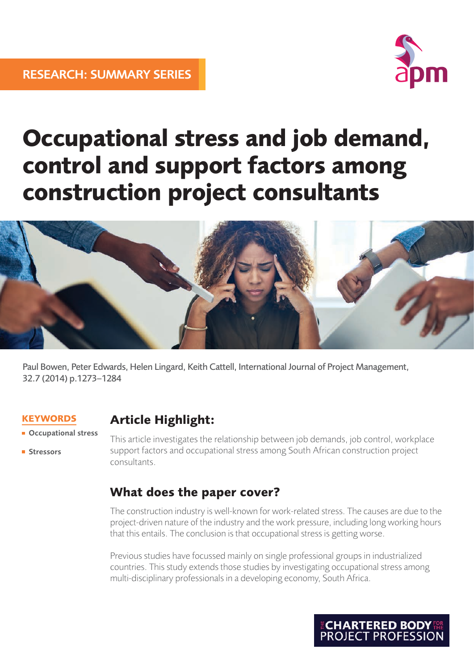

# **Occupational stress and job demand, control and support factors among construction project consultants**



Paul Bowen, Peter Edwards, Helen Lingard, Keith Cattell, International Journal of Project Management, 32.7 (2014) p.1273–1284

## **KEYWORDS**

## **Article Highlight:**

**C** Occupational stress

**Stressors** 

This article investigates the relationship between job demands, job control, workplace support factors and occupational stress among South African construction project consultants.

## **What does the paper cover?**

The construction industry is well-known for work-related stress. The causes are due to the project-driven nature of the industry and the work pressure, including long working hours that this entails. The conclusion is that occupational stress is getting worse.

Previous studies have focussed mainly on single professional groups in industrialized countries. This study extends those studies by investigating occupational stress among multi-disciplinary professionals in a developing economy, South Africa.

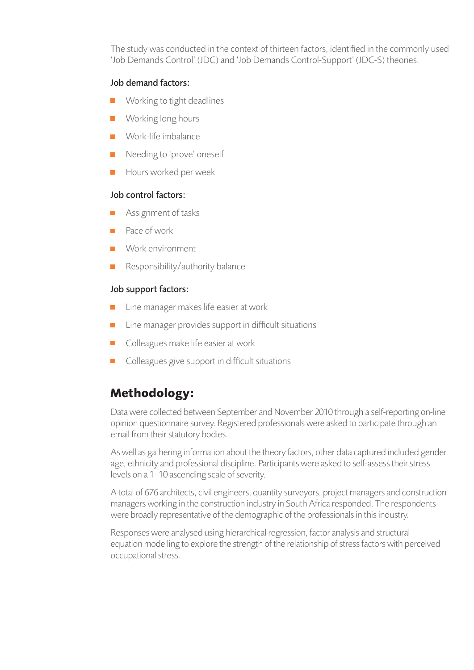The study was conducted in the context of thirteen factors, identified in the commonly used 'Job Demands Control' (JDC) and 'Job Demands Control-Support' (JDC-S) theories.

### Job demand factors:

- T. Working to tight deadlines
- $\overline{\mathbb{R}}$ Working long hours
- Work-life imbalance ×
- Needing to 'prove' oneself п
- Hours worked per week п

### Job control factors:

- Assignment of tasks ×
- Pace of work  $\Box$
- Work environment  $\Box$
- Responsibility/authority balance  $\mathcal{L}_{\mathcal{A}}$

### Job support factors:

- Line manager makes life easier at work  $\overline{\mathbb{R}}$
- T. Line manager provides support in difficult situations
- Colleagues make life easier at work  $\overline{\phantom{a}}$
- Colleagues give support in difficult situations  $\mathcal{C}^{\mathcal{A}}$

# **Methodology:**

Data were collected between September and November 2010 through a self-reporting on-line opinion questionnaire survey. Registered professionals were asked to participate through an email from their statutory bodies.

As well as gathering information about the theory factors, other data captured included gender, age, ethnicity and professional discipline. Participants were asked to self-assess their stress levels on a 1–10 ascending scale of severity.

A total of 676 architects, civil engineers, quantity surveyors, project managers and construction managers working in the construction industry in South Africa responded. The respondents were broadly representative of the demographic of the professionals in this industry.

Responses were analysed using hierarchical regression, factor analysis and structural equation modelling to explore the strength of the relationship of stress factors with perceived occupational stress.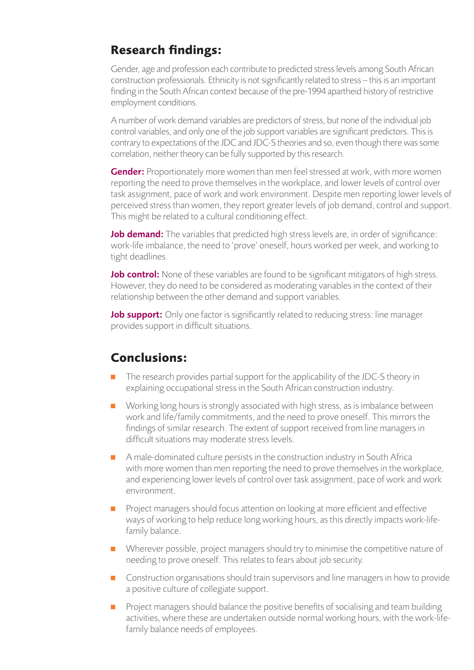## **Research findings:**

Gender, age and profession each contribute to predicted stress levels among South African construction professionals. Ethnicity is not significantly related to stress – this is an important finding in the South African context because of the pre-1994 apartheid history of restrictive employment conditions.

A number of work demand variables are predictors of stress, but none of the individual job control variables, and only one of the job support variables are significant predictors. This is contrary to expectations of the JDC and JDC-S theories and so, even though there was some correlation, neither theory can be fully supported by this research.

**Gender:** Proportionately more women than men feel stressed at work, with more women reporting the need to prove themselves in the workplace, and lower levels of control over task assignment, pace of work and work environment. Despite men reporting lower levels of perceived stress than women, they report greater levels of job demand, control and support. This might be related to a cultural conditioning effect.

Job demand: The variables that predicted high stress levels are, in order of significance: work-life imbalance, the need to 'prove' oneself, hours worked per week, and working to tight deadlines.

Job control: None of these variables are found to be significant mitigators of high stress. However, they do need to be considered as moderating variables in the context of their relationship between the other demand and support variables.

Job support: Only one factor is significantly related to reducing stress: line manager provides support in difficult situations.

## **Conclusions:**

- $\blacksquare$ The research provides partial support for the applicability of the JDC-S theory in explaining occupational stress in the South African construction industry.
- $\mathcal{L}_{\mathcal{A}}$ Working long hours is strongly associated with high stress, as is imbalance between work and life/family commitments, and the need to prove oneself. This mirrors the findings of similar research. The extent of support received from line managers in difficult situations may moderate stress levels.
- A male-dominated culture persists in the construction industry in South Africa П with more women than men reporting the need to prove themselves in the workplace, and experiencing lower levels of control over task assignment, pace of work and work environment.
- $\mathbb{R}^2$ Project managers should focus attention on looking at more efficient and effective ways of working to help reduce long working hours, as this directly impacts work-lifefamily balance.
- $\sim 100$ Wherever possible, project managers should try to minimise the competitive nature of needing to prove oneself. This relates to fears about job security.
- Construction organisations should train supervisors and line managers in how to provide  $\mathcal{L}_{\mathcal{A}}$ a positive culture of collegiate support.
- $\mathcal{L}_{\mathcal{A}}$ Project managers should balance the positive benefits of socialising and team building activities, where these are undertaken outside normal working hours, with the work-lifefamily balance needs of employees.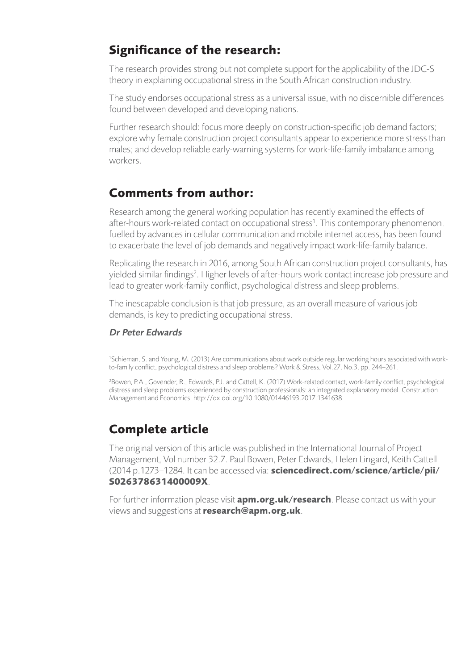# **Significance of the research:**

The research provides strong but not complete support for the applicability of the JDC-S theory in explaining occupational stress in the South African construction industry.

The study endorses occupational stress as a universal issue, with no discernible differences found between developed and developing nations.

Further research should: focus more deeply on construction-specific job demand factors; explore why female construction project consultants appear to experience more stress than males; and develop reliable early-warning systems for work-life-family imbalance among workers.

# **Comments from author:**

Research among the general working population has recently examined the effects of after-hours work-related contact on occupational stress<sup>1</sup>. This contemporary phenomenon, fuelled by advances in cellular communication and mobile internet access, has been found to exacerbate the level of job demands and negatively impact work-life-family balance.

Replicating the research in 2016, among South African construction project consultants, has yielded similar findings<sup>2</sup>. Higher levels of after-hours work contact increase job pressure and lead to greater work-family conflict, psychological distress and sleep problems.

The inescapable conclusion is that job pressure, as an overall measure of various job demands, is key to predicting occupational stress.

### Dr Peter Edwards

1 Schieman, S. and Young, M. (2013) Are communications about work outside regular working hours associated with workto-family conflict, psychological distress and sleep problems? Work & Stress, Vol.27, No.3, pp. 244–261.

2 Bowen, P.A., Govender, R., Edwards, P.J. and Cattell, K. (2017) Work-related contact, work-family conflict, psychological distress and sleep problems experienced by construction professionals: an integrated explanatory model. Construction Management and Economics. http://dx.doi.org/10.1080/01446193.2017.1341638

# **Complete article**

The original version of this article was published in the International Journal of Project Management, Vol number 32.7. Paul Bowen, Peter Edwards, Helen Lingard, Keith Cattell (2014 p.1273–1284. It can be accessed via: **[sciencedirect.com/science/article/pii/](http://www.sciencedirect.com/science/article/pii/S026378631400009X) [S026378631400009X](http://www.sciencedirect.com/science/article/pii/S026378631400009X)**.

For further information please visit **[apm.org.uk/research](http://www.apm.org.uk/research)**. Please contact us with your views and suggestions at **[research@apm.org.uk](mailto: research@apm.org.uk)**.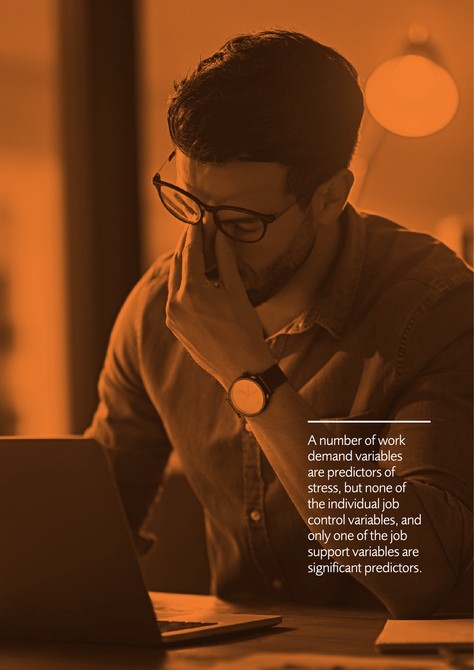A number of work demand variables are predictors of stress, but none of the individual job control variables, and only one of the job support variables are significant predictors.